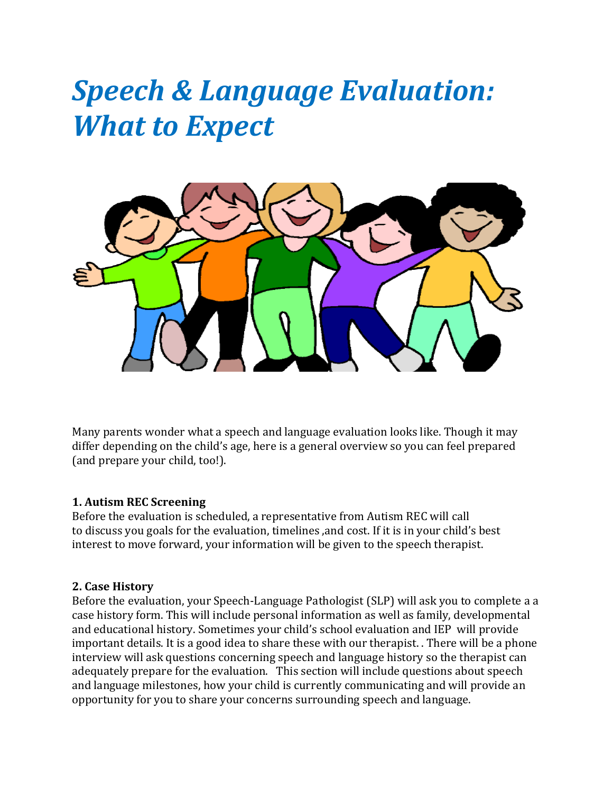# *Speech & Language Evaluation: What to Expect*



Many parents wonder what a speech and language evaluation looks like. Though it may differ depending on the child's age, here is a general overview so you can feel prepared (and prepare your child, too!).

#### **1. Autism REC Screening**

Before the evaluation is scheduled, a representative from Autism REC will call to discuss you goals for the evaluation, timelines ,and cost. If it is in your child's best interest to move forward, your information will be given to the speech therapist.

#### **2. Case History**

Before the evaluation, your Speech-Language Pathologist (SLP) will ask you to complete a a case history form. This will include personal information as well as family, developmental and educational history. Sometimes your child's school evaluation and IEP will provide important details. It is a good idea to share these with our therapist. . There will be a phone interview will ask questions concerning speech and language history so the therapist can adequately prepare for the evaluation. This section will include questions about speech and language milestones, how your child is currently communicating and will provide an opportunity for you to share your concerns surrounding speech and language.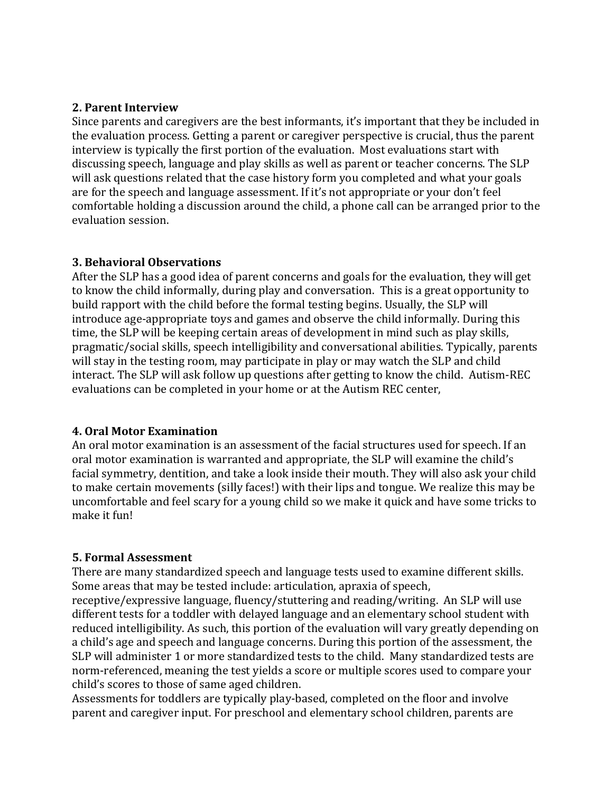#### **2. Parent Interview**

Since parents and caregivers are the best informants, it's important that they be included in the evaluation process. Getting a parent or caregiver perspective is crucial, thus the parent interview is typically the first portion of the evaluation. Most evaluations start with discussing speech, language and play skills as well as parent or teacher concerns. The SLP will ask questions related that the case history form you completed and what your goals are for the speech and language assessment. If it's not appropriate or your don't feel comfortable holding a discussion around the child, a phone call can be arranged prior to the evaluation session.

#### **3. Behavioral Observations**

After the SLP has a good idea of parent concerns and goals for the evaluation, they will get to know the child informally, during play and conversation. This is a great opportunity to build rapport with the child before the formal testing begins. Usually, the SLP will introduce age-appropriate toys and games and observe the child informally. During this time, the SLP will be keeping certain areas of development in mind such as play skills, pragmatic/social skills, speech intelligibility and conversational abilities. Typically, parents will stay in the testing room, may participate in play or may watch the SLP and child interact. The SLP will ask follow up questions after getting to know the child. Autism-REC evaluations can be completed in your home or at the Autism REC center,

#### **4. Oral Motor Examination**

An oral motor examination is an assessment of the facial structures used for speech. If an oral motor examination is warranted and appropriate, the SLP will examine the child's facial symmetry, dentition, and take a look inside their mouth. They will also ask your child to make certain movements (silly faces!) with their lips and tongue. We realize this may be uncomfortable and feel scary for a young child so we make it quick and have some tricks to make it fun!

#### **5. Formal Assessment**

There are many standardized speech and language tests used to examine different skills. Some areas that may be tested include: articulation, apraxia of speech,

receptive/expressive language, fluency/stuttering and reading/writing. An SLP will use different tests for a toddler with delayed language and an elementary school student with reduced intelligibility. As such, this portion of the evaluation will vary greatly depending on a child's age and speech and language concerns. During this portion of the assessment, the SLP will administer 1 or more standardized tests to the child. Many standardized tests are norm-referenced, meaning the test yields a score or multiple scores used to compare your child's scores to those of same aged children.

Assessments for toddlers are typically play-based, completed on the floor and involve parent and caregiver input. For preschool and elementary school children, parents are